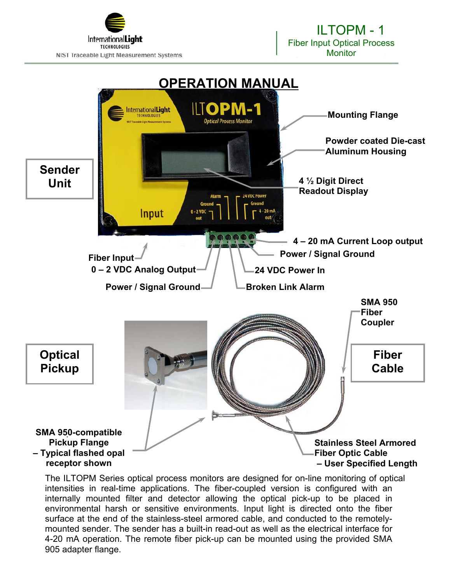



The ILTOPM Series optical process monitors are designed for on-line monitoring of optical intensities in real-time applications. The fiber-coupled version is configured with an internally mounted filter and detector allowing the optical pick-up to be placed in environmental harsh or sensitive environments. Input light is directed onto the fiber surface at the end of the stainless-steel armored cable, and conducted to the remotelymounted sender. The sender has a built-in read-out as well as the electrical interface for 4-20 mA operation. The remote fiber pick-up can be mounted using the provided SMA 905 adapter flange.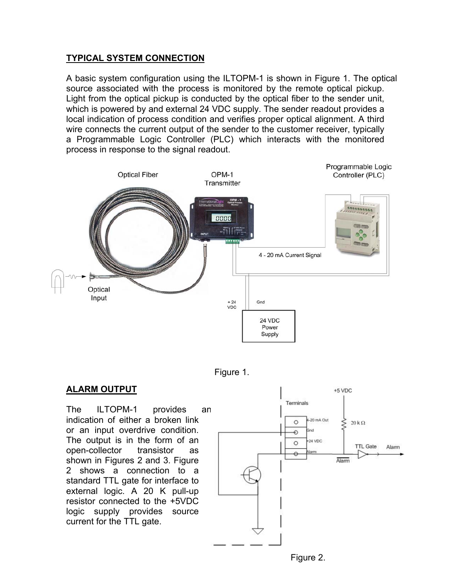### **TYPICAL SYSTEM CONNECTION**

A basic system configuration using the ILTOPM-1 is shown in Figure 1. The optical source associated with the process is monitored by the remote optical pickup. Light from the optical pickup is conducted by the optical fiber to the sender unit, which is powered by and external 24 VDC supply. The sender readout provides a local indication of process condition and verifies proper optical alignment. A third wire connects the current output of the sender to the customer receiver, typically a Programmable Logic Controller (PLC) which interacts with the monitored process in response to the signal readout.





#### **ALARM OUTPUT**

The ILTOPM-1 provides an indication of either a broken link or an input overdrive condition. The output is in the form of an open-collector transistor as shown in Figures 2 and 3. Figure 2 shows a connection to a standard TTL gate for interface to external logic. A 20 K pull-up resistor connected to the +5VDC logic supply provides source current for the TTL gate.

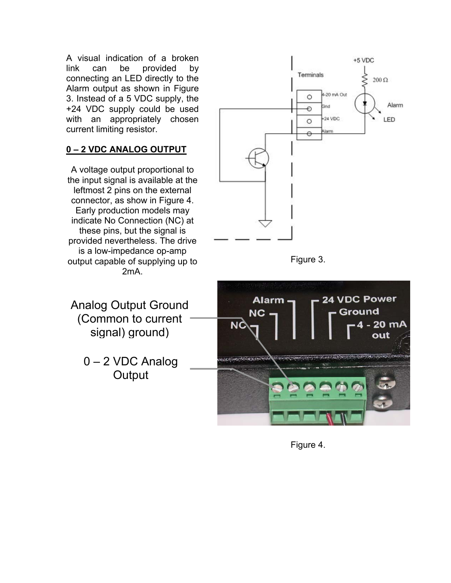A visual indication of a broken link can be provided by connecting an LED directly to the Alarm output as shown in Figure 3. Instead of a 5 VDC supply, the +24 VDC supply could be used with an appropriately chosen current limiting resistor.

## **0 – 2 VDC ANALOG OUTPUT**

A voltage output proportional to the input signal is available at the leftmost 2 pins on the external connector, as show in Figure 4. Early production models may indicate No Connection (NC) at these pins, but the signal is provided nevertheless. The drive is a low-impedance op-amp output capable of supplying up to 2mA.

Analog Output Ground (Common to current signal) ground)

> 0 – 2 VDC Analog **Output**







Figure 4.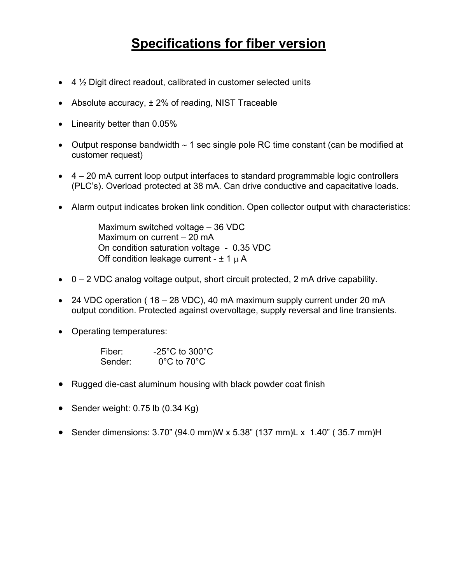## **Specifications for fiber version**

- 4 ½ Digit direct readout, calibrated in customer selected units
- Absolute accuracy,  $\pm$  2% of reading, NIST Traceable
- Linearity better than 0.05%
- Output response bandwidth ∼ 1 sec single pole RC time constant (can be modified at customer request)
- 4 20 mA current loop output interfaces to standard programmable logic controllers (PLC's). Overload protected at 38 mA. Can drive conductive and capacitative loads.
- Alarm output indicates broken link condition. Open collector output with characteristics:

 Maximum switched voltage – 36 VDC Maximum on current – 20 mA On condition saturation voltage - 0.35 VDC Off condition leakage current -  $\pm$  1  $\mu$  A

- $\bullet$  0 2 VDC analog voltage output, short circuit protected, 2 mA drive capability.
- 24 VDC operation ( 18 28 VDC), 40 mA maximum supply current under 20 mA output condition. Protected against overvoltage, supply reversal and line transients.
- Operating temperatures:

| Fiber:  | $-25^{\circ}$ C to 300 $^{\circ}$ C |
|---------|-------------------------------------|
| Sender: | $0^{\circ}$ C to 70 $^{\circ}$ C    |

- Rugged die-cast aluminum housing with black powder coat finish
- Sender weight: 0.75 lb (0.34 Kg)
- Sender dimensions: 3.70" (94.0 mm)W x 5.38" (137 mm)L x 1.40" ( 35.7 mm)H